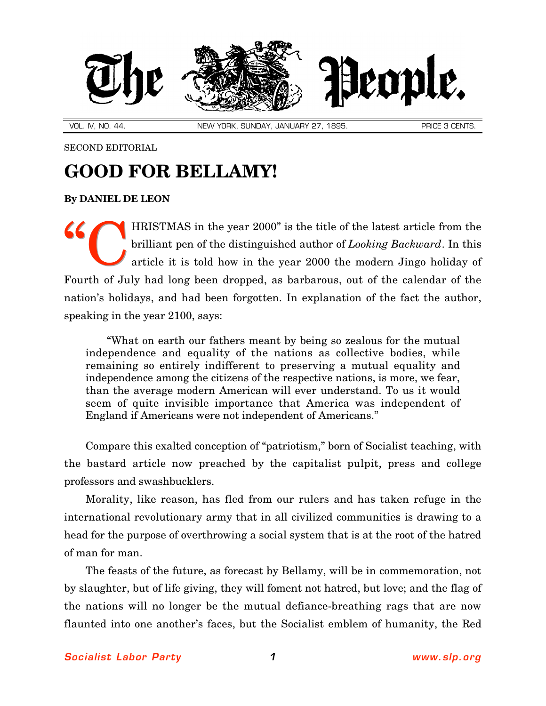

VOL. IV, NO. 44. NEW YORK, SUNDAY, JANUARY 27, 1895. PRICE 3 CENTS.

SECOND EDITORIAL

## **GOOD FOR BELLAMY!**

**By [DANIEL DE LEON](http://slp.org/De_Leon.htm)**

HRISTMAS in the year 2000" is the title of the latest article from the brilliant pen of the distinguished author of *Looking Backward*. In this article it is told how in the year 2000 the modern Jingo holiday of Fourth of July had long been dropped, as barbarous, out of the calendar of the nation's holidays, and had been forgotten. In explanation of the fact the author, speaking in the year 2100, says: "C

"What on earth our fathers meant by being so zealous for the mutual independence and equality of the nations as collective bodies, while remaining so entirely indifferent to preserving a mutual equality and independence among the citizens of the respective nations, is more, we fear, than the average modern American will ever understand. To us it would seem of quite invisible importance that America was independent of England if Americans were not independent of Americans."

Compare this exalted conception of "patriotism," born of Socialist teaching, with the bastard article now preached by the capitalist pulpit, press and college professors and swashbucklers.

Morality, like reason, has fled from our rulers and has taken refuge in the international revolutionary army that in all civilized communities is drawing to a head for the purpose of overthrowing a social system that is at the root of the hatred of man for man.

The feasts of the future, as forecast by Bellamy, will be in commemoration, not by slaughter, but of life giving, they will foment not hatred, but love; and the flag of the nations will no longer be the mutual defiance-breathing rags that are now flaunted into one another's faces, but the Socialist emblem of humanity, the Red